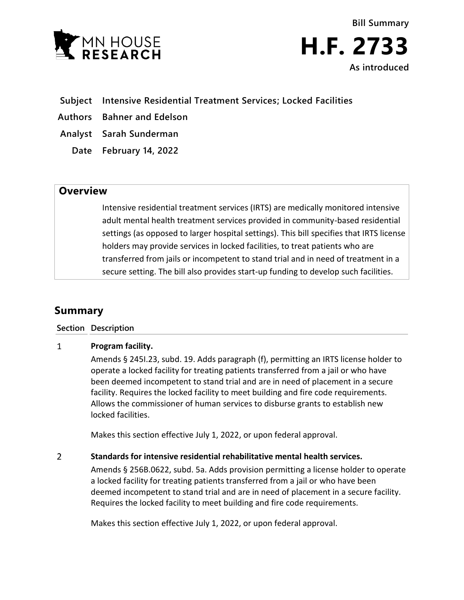

**Bill Summary H.F. 2733 As introduced**

- **Subject Intensive Residential Treatment Services; Locked Facilities**
- **Authors Bahner and Edelson**

**Analyst Sarah Sunderman**

**Date February 14, 2022**

## **Overview**

Intensive residential treatment services (IRTS) are medically monitored intensive adult mental health treatment services provided in community-based residential settings (as opposed to larger hospital settings). This bill specifies that IRTS license holders may provide services in locked facilities, to treat patients who are transferred from jails or incompetent to stand trial and in need of treatment in a secure setting. The bill also provides start-up funding to develop such facilities.

# **Summary**

**Section Description**

#### $\mathbf{1}$ **Program facility.**

Amends § 245I.23, subd. 19. Adds paragraph (f), permitting an IRTS license holder to operate a locked facility for treating patients transferred from a jail or who have been deemed incompetent to stand trial and are in need of placement in a secure facility. Requires the locked facility to meet building and fire code requirements. Allows the commissioner of human services to disburse grants to establish new locked facilities.

Makes this section effective July 1, 2022, or upon federal approval.

#### $\overline{2}$ **Standards for intensive residential rehabilitative mental health services.**

Amends § 256B.0622, subd. 5a. Adds provision permitting a license holder to operate a locked facility for treating patients transferred from a jail or who have been deemed incompetent to stand trial and are in need of placement in a secure facility. Requires the locked facility to meet building and fire code requirements.

Makes this section effective July 1, 2022, or upon federal approval.